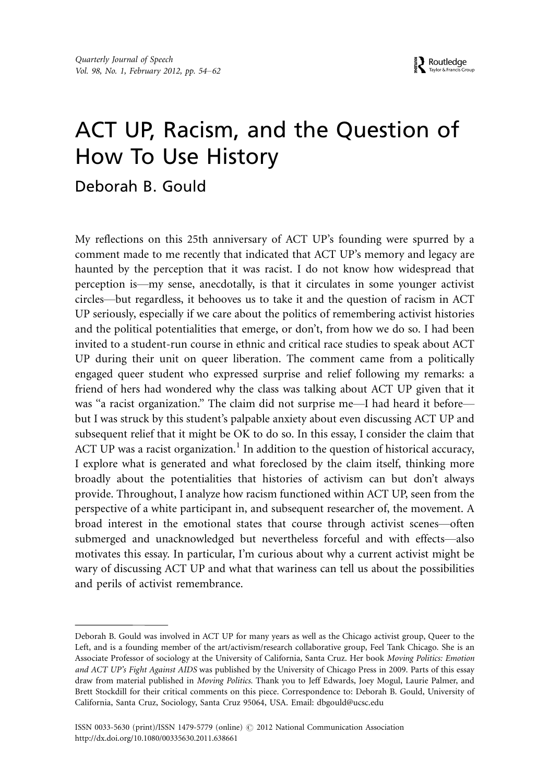# ACT UP, Racism, and the Question of How To Use History

# Deborah B. Gould

My reflections on this 25th anniversary of ACT UP's founding were spurred by a comment made to me recently that indicated that ACT UP's memory and legacy are haunted by the perception that it was racist. I do not know how widespread that perception is—my sense, anecdotally, is that it circulates in some younger activist circles\*but regardless, it behooves us to take it and the question of racism in ACT UP seriously, especially if we care about the politics of remembering activist histories and the political potentialities that emerge, or don't, from how we do so. I had been invited to a student-run course in ethnic and critical race studies to speak about ACT UP during their unit on queer liberation. The comment came from a politically engaged queer student who expressed surprise and relief following my remarks: a friend of hers had wondered why the class was talking about ACT UP given that it was "a racist organization." The claim did not surprise me-I had heard it beforebut I was struck by this student's palpable anxiety about even discussing ACT UP and subsequent relief that it might be OK to do so. In this essay, I consider the claim that ACT UP was a racist organization.<sup>1</sup> In addition to the question of historical accuracy, I explore what is generated and what foreclosed by the claim itself, thinking more broadly about the potentialities that histories of activism can but don't always provide. Throughout, I analyze how racism functioned within ACT UP, seen from the perspective of a white participant in, and subsequent researcher of, the movement. A broad interest in the emotional states that course through activist scenes\*often submerged and unacknowledged but nevertheless forceful and with effects—also motivates this essay. In particular, I'm curious about why a current activist might be wary of discussing ACT UP and what that wariness can tell us about the possibilities and perils of activist remembrance.

Deborah B. Gould was involved in ACT UP for many years as well as the Chicago activist group, Queer to the Left, and is a founding member of the art/activism/research collaborative group, Feel Tank Chicago. She is an Associate Professor of sociology at the University of California, Santa Cruz. Her book Moving Politics: Emotion and ACT UP's Fight Against AIDS was published by the University of Chicago Press in 2009. Parts of this essay draw from material published in Moving Politics. Thank you to Jeff Edwards, Joey Mogul, Laurie Palmer, and Brett Stockdill for their critical comments on this piece. Correspondence to: Deborah B. Gould, University of California, Santa Cruz, Sociology, Santa Cruz 95064, USA. Email: dbgould@ucsc.edu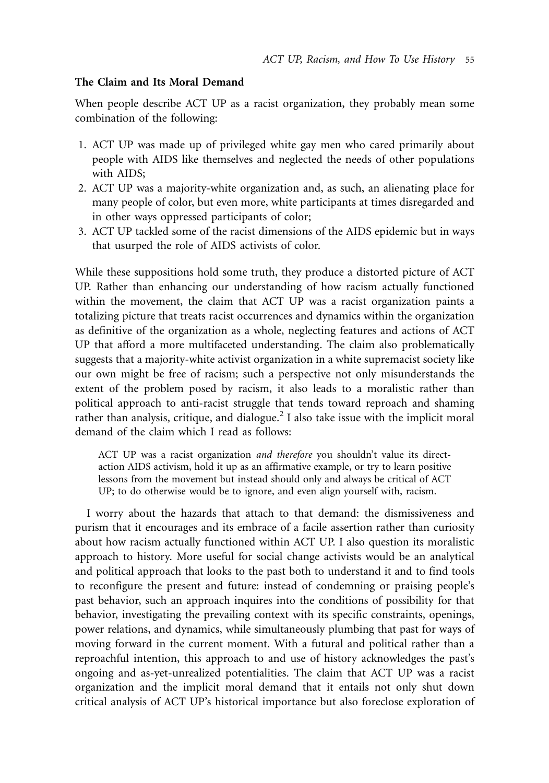### The Claim and Its Moral Demand

When people describe ACT UP as a racist organization, they probably mean some combination of the following:

- 1. ACT UP was made up of privileged white gay men who cared primarily about people with AIDS like themselves and neglected the needs of other populations with AIDS;
- 2. ACT UP was a majority-white organization and, as such, an alienating place for many people of color, but even more, white participants at times disregarded and in other ways oppressed participants of color;
- 3. ACT UP tackled some of the racist dimensions of the AIDS epidemic but in ways that usurped the role of AIDS activists of color.

While these suppositions hold some truth, they produce a distorted picture of ACT UP. Rather than enhancing our understanding of how racism actually functioned within the movement, the claim that ACT UP was a racist organization paints a totalizing picture that treats racist occurrences and dynamics within the organization as definitive of the organization as a whole, neglecting features and actions of ACT UP that afford a more multifaceted understanding. The claim also problematically suggests that a majority-white activist organization in a white supremacist society like our own might be free of racism; such a perspective not only misunderstands the extent of the problem posed by racism, it also leads to a moralistic rather than political approach to anti-racist struggle that tends toward reproach and shaming rather than analysis, critique, and dialogue.<sup>2</sup> I also take issue with the implicit moral demand of the claim which I read as follows:

ACT UP was a racist organization and therefore you shouldn't value its directaction AIDS activism, hold it up as an affirmative example, or try to learn positive lessons from the movement but instead should only and always be critical of ACT UP; to do otherwise would be to ignore, and even align yourself with, racism.

I worry about the hazards that attach to that demand: the dismissiveness and purism that it encourages and its embrace of a facile assertion rather than curiosity about how racism actually functioned within ACT UP. I also question its moralistic approach to history. More useful for social change activists would be an analytical and political approach that looks to the past both to understand it and to find tools to reconfigure the present and future: instead of condemning or praising people's past behavior, such an approach inquires into the conditions of possibility for that behavior, investigating the prevailing context with its specific constraints, openings, power relations, and dynamics, while simultaneously plumbing that past for ways of moving forward in the current moment. With a futural and political rather than a reproachful intention, this approach to and use of history acknowledges the past's ongoing and as-yet-unrealized potentialities. The claim that ACT UP was a racist organization and the implicit moral demand that it entails not only shut down critical analysis of ACT UP's historical importance but also foreclose exploration of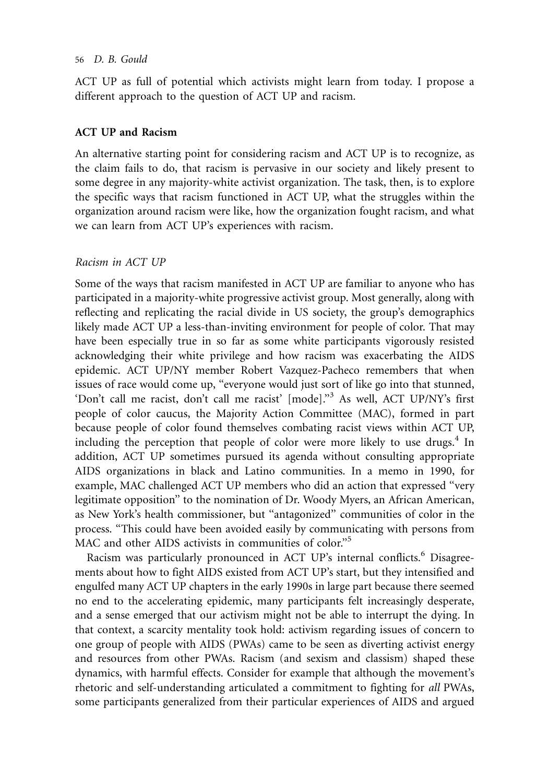#### 56 D. B. Gould

ACT UP as full of potential which activists might learn from today. I propose a different approach to the question of ACT UP and racism.

#### ACT UP and Racism

An alternative starting point for considering racism and ACT UP is to recognize, as the claim fails to do, that racism is pervasive in our society and likely present to some degree in any majority-white activist organization. The task, then, is to explore the specific ways that racism functioned in ACT UP, what the struggles within the organization around racism were like, how the organization fought racism, and what we can learn from ACT UP's experiences with racism.

# Racism in ACT UP

Some of the ways that racism manifested in ACT UP are familiar to anyone who has participated in a majority-white progressive activist group. Most generally, along with reflecting and replicating the racial divide in US society, the group's demographics likely made ACT UP a less-than-inviting environment for people of color. That may have been especially true in so far as some white participants vigorously resisted acknowledging their white privilege and how racism was exacerbating the AIDS epidemic. ACT UP/NY member Robert Vazquez-Pacheco remembers that when issues of race would come up, "everyone would just sort of like go into that stunned, 'Don't call me racist, don't call me racist' [mode]."<sup>3</sup> As well, ACT UP/NY's first people of color caucus, the Majority Action Committee (MAC), formed in part because people of color found themselves combating racist views within ACT UP, including the perception that people of color were more likely to use drugs. $4 \text{ In }$ addition, ACT UP sometimes pursued its agenda without consulting appropriate AIDS organizations in black and Latino communities. In a memo in 1990, for example, MAC challenged ACT UP members who did an action that expressed ''very legitimate opposition'' to the nomination of Dr. Woody Myers, an African American, as New York's health commissioner, but ''antagonized'' communities of color in the process. ''This could have been avoided easily by communicating with persons from MAC and other AIDS activists in communities of color."<sup>5</sup>

Racism was particularly pronounced in ACT UP's internal conflicts.<sup>6</sup> Disagreements about how to fight AIDS existed from ACT UP's start, but they intensified and engulfed many ACT UP chapters in the early 1990s in large part because there seemed no end to the accelerating epidemic, many participants felt increasingly desperate, and a sense emerged that our activism might not be able to interrupt the dying. In that context, a scarcity mentality took hold: activism regarding issues of concern to one group of people with AIDS (PWAs) came to be seen as diverting activist energy and resources from other PWAs. Racism (and sexism and classism) shaped these dynamics, with harmful effects. Consider for example that although the movement's rhetoric and self-understanding articulated a commitment to fighting for all PWAs, some participants generalized from their particular experiences of AIDS and argued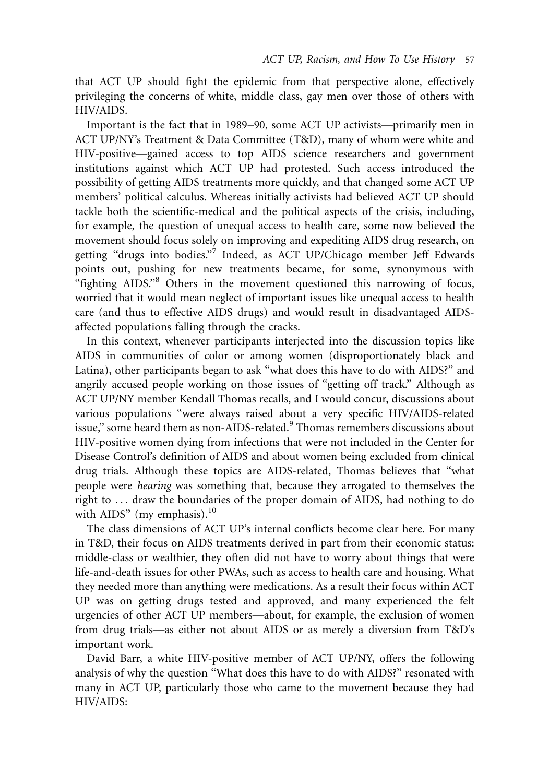that ACT UP should fight the epidemic from that perspective alone, effectively privileging the concerns of white, middle class, gay men over those of others with HIV/AIDS.

Important is the fact that in 1989–90, some ACT UP activists—primarily men in ACT UP/NY's Treatment & Data Committee (T&D), many of whom were white and HIV-positive—gained access to top AIDS science researchers and government institutions against which ACT UP had protested. Such access introduced the possibility of getting AIDS treatments more quickly, and that changed some ACT UP members' political calculus. Whereas initially activists had believed ACT UP should tackle both the scientific-medical and the political aspects of the crisis, including, for example, the question of unequal access to health care, some now believed the movement should focus solely on improving and expediting AIDS drug research, on getting "drugs into bodies."<sup>7</sup> Indeed, as ACT UP/Chicago member Jeff Edwards points out, pushing for new treatments became, for some, synonymous with "fighting AIDS."<sup>8</sup> Others in the movement questioned this narrowing of focus, worried that it would mean neglect of important issues like unequal access to health care (and thus to effective AIDS drugs) and would result in disadvantaged AIDSaffected populations falling through the cracks.

In this context, whenever participants interjected into the discussion topics like AIDS in communities of color or among women (disproportionately black and Latina), other participants began to ask ''what does this have to do with AIDS?'' and angrily accused people working on those issues of ''getting off track.'' Although as ACT UP/NY member Kendall Thomas recalls, and I would concur, discussions about various populations ''were always raised about a very specific HIV/AIDS-related issue," some heard them as non-AIDS-related.<sup>9</sup> Thomas remembers discussions about HIV-positive women dying from infections that were not included in the Center for Disease Control's definition of AIDS and about women being excluded from clinical drug trials. Although these topics are AIDS-related, Thomas believes that ''what people were hearing was something that, because they arrogated to themselves the right to ... draw the boundaries of the proper domain of AIDS, had nothing to do with AIDS" (my emphasis).<sup>10</sup>

The class dimensions of ACT UP's internal conflicts become clear here. For many in T&D, their focus on AIDS treatments derived in part from their economic status: middle-class or wealthier, they often did not have to worry about things that were life-and-death issues for other PWAs, such as access to health care and housing. What they needed more than anything were medications. As a result their focus within ACT UP was on getting drugs tested and approved, and many experienced the felt urgencies of other ACT UP members—about, for example, the exclusion of women from drug trials-as either not about AIDS or as merely a diversion from T&D's important work.

David Barr, a white HIV-positive member of ACT UP/NY, offers the following analysis of why the question ''What does this have to do with AIDS?'' resonated with many in ACT UP, particularly those who came to the movement because they had HIV/AIDS: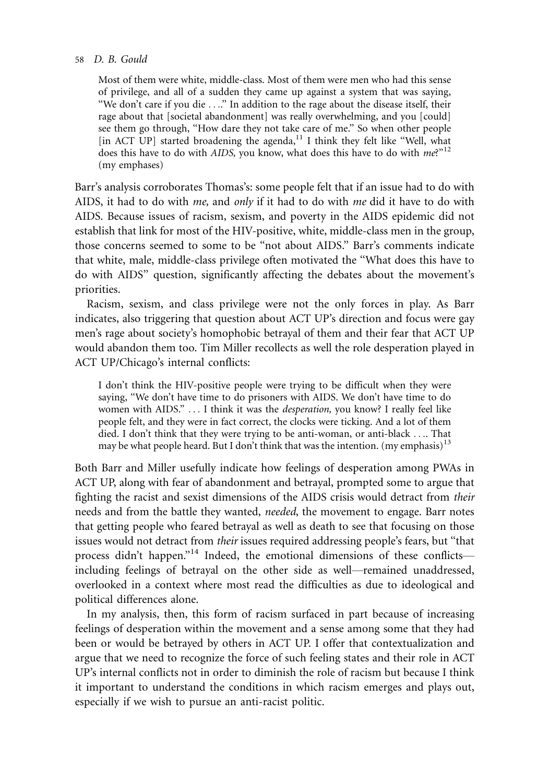#### 58 D. B. Gould

Most of them were white, middle-class. Most of them were men who had this sense of privilege, and all of a sudden they came up against a system that was saying, "We don't care if you die ...." In addition to the rage about the disease itself, their rage about that [societal abandonment] was really overwhelming, and you [could] see them go through, ''How dare they not take care of me.'' So when other people [in ACT UP] started broadening the agenda,<sup>11</sup> I think they felt like "Well, what does this have to do with AIDS, you know, what does this have to do with  $me^{v^{12}}$ (my emphases)

Barr's analysis corroborates Thomas's: some people felt that if an issue had to do with AIDS, it had to do with *me*, and *only* if it had to do with *me* did it have to do with AIDS. Because issues of racism, sexism, and poverty in the AIDS epidemic did not establish that link for most of the HIV-positive, white, middle-class men in the group, those concerns seemed to some to be ''not about AIDS.'' Barr's comments indicate that white, male, middle-class privilege often motivated the ''What does this have to do with AIDS'' question, significantly affecting the debates about the movement's priorities.

Racism, sexism, and class privilege were not the only forces in play. As Barr indicates, also triggering that question about ACT UP's direction and focus were gay men's rage about society's homophobic betrayal of them and their fear that ACT UP would abandon them too. Tim Miller recollects as well the role desperation played in ACT UP/Chicago's internal conflicts:

I don't think the HIV-positive people were trying to be difficult when they were saying, "We don't have time to do prisoners with AIDS. We don't have time to do women with AIDS.'' ... I think it was the desperation, you know? I really feel like people felt, and they were in fact correct, the clocks were ticking. And a lot of them died. I don't think that they were trying to be anti-woman, or anti-black .... That may be what people heard. But I don't think that was the intention. (my emphasis)<sup>13</sup>

Both Barr and Miller usefully indicate how feelings of desperation among PWAs in ACT UP, along with fear of abandonment and betrayal, prompted some to argue that fighting the racist and sexist dimensions of the AIDS crisis would detract from their needs and from the battle they wanted, needed, the movement to engage. Barr notes that getting people who feared betrayal as well as death to see that focusing on those issues would not detract from their issues required addressing people's fears, but ''that process didn't happen."<sup>14</sup> Indeed, the emotional dimensions of these conflictsincluding feelings of betrayal on the other side as well—remained unaddressed, overlooked in a context where most read the difficulties as due to ideological and political differences alone.

In my analysis, then, this form of racism surfaced in part because of increasing feelings of desperation within the movement and a sense among some that they had been or would be betrayed by others in ACT UP. I offer that contextualization and argue that we need to recognize the force of such feeling states and their role in ACT UP's internal conflicts not in order to diminish the role of racism but because I think it important to understand the conditions in which racism emerges and plays out, especially if we wish to pursue an anti-racist politic.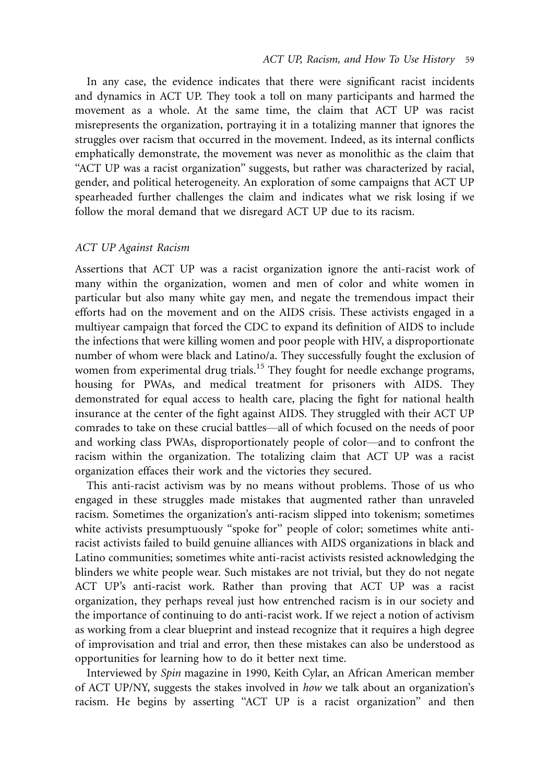In any case, the evidence indicates that there were significant racist incidents and dynamics in ACT UP. They took a toll on many participants and harmed the movement as a whole. At the same time, the claim that ACT UP was racist misrepresents the organization, portraying it in a totalizing manner that ignores the struggles over racism that occurred in the movement. Indeed, as its internal conflicts emphatically demonstrate, the movement was never as monolithic as the claim that ''ACT UP was a racist organization'' suggests, but rather was characterized by racial, gender, and political heterogeneity. An exploration of some campaigns that ACT UP spearheaded further challenges the claim and indicates what we risk losing if we follow the moral demand that we disregard ACT UP due to its racism.

#### ACT UP Against Racism

Assertions that ACT UP was a racist organization ignore the anti-racist work of many within the organization, women and men of color and white women in particular but also many white gay men, and negate the tremendous impact their efforts had on the movement and on the AIDS crisis. These activists engaged in a multiyear campaign that forced the CDC to expand its definition of AIDS to include the infections that were killing women and poor people with HIV, a disproportionate number of whom were black and Latino/a. They successfully fought the exclusion of women from experimental drug trials.<sup>15</sup> They fought for needle exchange programs, housing for PWAs, and medical treatment for prisoners with AIDS. They demonstrated for equal access to health care, placing the fight for national health insurance at the center of the fight against AIDS. They struggled with their ACT UP comrades to take on these crucial battles-all of which focused on the needs of poor and working class PWAs, disproportionately people of color—and to confront the racism within the organization. The totalizing claim that ACT UP was a racist organization effaces their work and the victories they secured.

This anti-racist activism was by no means without problems. Those of us who engaged in these struggles made mistakes that augmented rather than unraveled racism. Sometimes the organization's anti-racism slipped into tokenism; sometimes white activists presumptuously "spoke for" people of color; sometimes white antiracist activists failed to build genuine alliances with AIDS organizations in black and Latino communities; sometimes white anti-racist activists resisted acknowledging the blinders we white people wear. Such mistakes are not trivial, but they do not negate ACT UP's anti-racist work. Rather than proving that ACT UP was a racist organization, they perhaps reveal just how entrenched racism is in our society and the importance of continuing to do anti-racist work. If we reject a notion of activism as working from a clear blueprint and instead recognize that it requires a high degree of improvisation and trial and error, then these mistakes can also be understood as opportunities for learning how to do it better next time.

Interviewed by Spin magazine in 1990, Keith Cylar, an African American member of ACT UP/NY, suggests the stakes involved in how we talk about an organization's racism. He begins by asserting ''ACT UP is a racist organization'' and then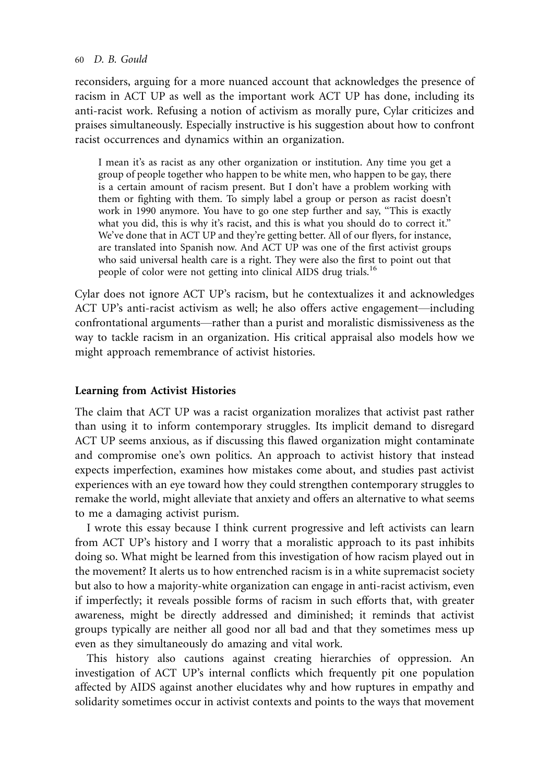#### 60 D. B. Gould

reconsiders, arguing for a more nuanced account that acknowledges the presence of racism in ACT UP as well as the important work ACT UP has done, including its anti-racist work. Refusing a notion of activism as morally pure, Cylar criticizes and praises simultaneously. Especially instructive is his suggestion about how to confront racist occurrences and dynamics within an organization.

I mean it's as racist as any other organization or institution. Any time you get a group of people together who happen to be white men, who happen to be gay, there is a certain amount of racism present. But I don't have a problem working with them or fighting with them. To simply label a group or person as racist doesn't work in 1990 anymore. You have to go one step further and say, ''This is exactly what you did, this is why it's racist, and this is what you should do to correct it.'' We've done that in ACT UP and they're getting better. All of our flyers, for instance, are translated into Spanish now. And ACT UP was one of the first activist groups who said universal health care is a right. They were also the first to point out that people of color were not getting into clinical AIDS drug trials.<sup>16</sup>

Cylar does not ignore ACT UP's racism, but he contextualizes it and acknowledges ACT UP's anti-racist activism as well; he also offers active engagement—including confrontational arguments—rather than a purist and moralistic dismissiveness as the way to tackle racism in an organization. His critical appraisal also models how we might approach remembrance of activist histories.

## Learning from Activist Histories

The claim that ACT UP was a racist organization moralizes that activist past rather than using it to inform contemporary struggles. Its implicit demand to disregard ACT UP seems anxious, as if discussing this flawed organization might contaminate and compromise one's own politics. An approach to activist history that instead expects imperfection, examines how mistakes come about, and studies past activist experiences with an eye toward how they could strengthen contemporary struggles to remake the world, might alleviate that anxiety and offers an alternative to what seems to me a damaging activist purism.

I wrote this essay because I think current progressive and left activists can learn from ACT UP's history and I worry that a moralistic approach to its past inhibits doing so. What might be learned from this investigation of how racism played out in the movement? It alerts us to how entrenched racism is in a white supremacist society but also to how a majority-white organization can engage in anti-racist activism, even if imperfectly; it reveals possible forms of racism in such efforts that, with greater awareness, might be directly addressed and diminished; it reminds that activist groups typically are neither all good nor all bad and that they sometimes mess up even as they simultaneously do amazing and vital work.

This history also cautions against creating hierarchies of oppression. An investigation of ACT UP's internal conflicts which frequently pit one population affected by AIDS against another elucidates why and how ruptures in empathy and solidarity sometimes occur in activist contexts and points to the ways that movement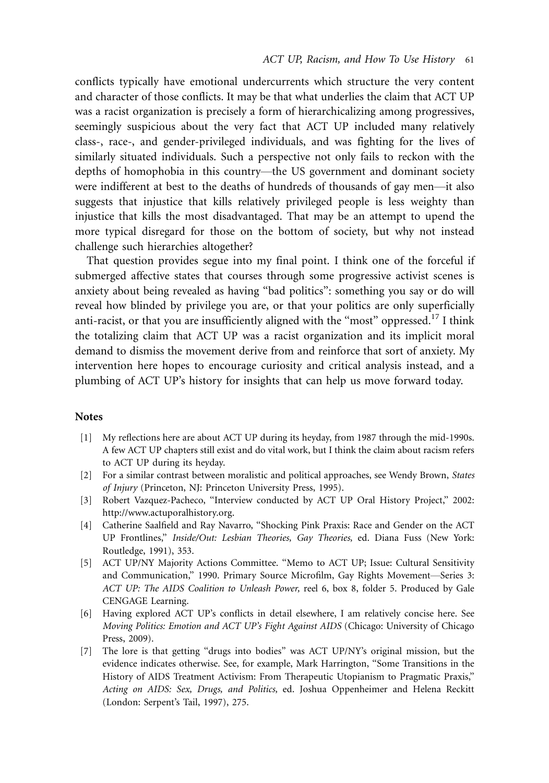conflicts typically have emotional undercurrents which structure the very content and character of those conflicts. It may be that what underlies the claim that ACT UP was a racist organization is precisely a form of hierarchicalizing among progressives, seemingly suspicious about the very fact that ACT UP included many relatively class-, race-, and gender-privileged individuals, and was fighting for the lives of similarly situated individuals. Such a perspective not only fails to reckon with the depths of homophobia in this country—the US government and dominant society were indifferent at best to the deaths of hundreds of thousands of gay men—it also suggests that injustice that kills relatively privileged people is less weighty than injustice that kills the most disadvantaged. That may be an attempt to upend the more typical disregard for those on the bottom of society, but why not instead challenge such hierarchies altogether?

That question provides segue into my final point. I think one of the forceful if submerged affective states that courses through some progressive activist scenes is anxiety about being revealed as having ''bad politics'': something you say or do will reveal how blinded by privilege you are, or that your politics are only superficially anti-racist, or that you are insufficiently aligned with the "most" oppressed.<sup>17</sup> I think the totalizing claim that ACT UP was a racist organization and its implicit moral demand to dismiss the movement derive from and reinforce that sort of anxiety. My intervention here hopes to encourage curiosity and critical analysis instead, and a plumbing of ACT UP's history for insights that can help us move forward today.

#### **Notes**

- [1] My reflections here are about ACT UP during its heyday, from 1987 through the mid-1990s. A few ACT UP chapters still exist and do vital work, but I think the claim about racism refers to ACT UP during its heyday.
- [2] For a similar contrast between moralistic and political approaches, see Wendy Brown, States of Injury (Princeton, NJ: Princeton University Press, 1995).
- [3] Robert Vazquez-Pacheco, ''Interview conducted by ACT UP Oral History Project,'' 2002: <http://www.actuporalhistory.org.>
- [4] Catherine Saalfield and Ray Navarro, ''Shocking Pink Praxis: Race and Gender on the ACT UP Frontlines,'' Inside/Out: Lesbian Theories, Gay Theories, ed. Diana Fuss (New York: Routledge, 1991), 353.
- [5] ACT UP/NY Majority Actions Committee. ''Memo to ACT UP; Issue: Cultural Sensitivity and Communication," 1990. Primary Source Microfilm, Gay Rights Movement-Series 3: ACT UP: The AIDS Coalition to Unleash Power, reel 6, box 8, folder 5. Produced by Gale CENGAGE Learning.
- [6] Having explored ACT UP's conflicts in detail elsewhere, I am relatively concise here. See Moving Politics: Emotion and ACT UP's Fight Against AIDS (Chicago: University of Chicago Press, 2009).
- [7] The lore is that getting ''drugs into bodies'' was ACT UP/NY's original mission, but the evidence indicates otherwise. See, for example, Mark Harrington, ''Some Transitions in the History of AIDS Treatment Activism: From Therapeutic Utopianism to Pragmatic Praxis,'' Acting on AIDS: Sex, Drugs, and Politics, ed. Joshua Oppenheimer and Helena Reckitt (London: Serpent's Tail, 1997), 275.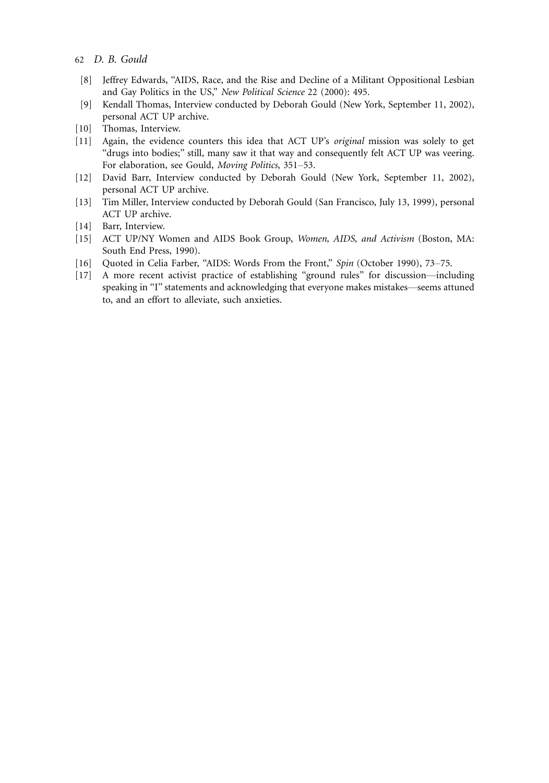- 62 D. B. Gould
- [8] Jeffrey Edwards, ''AIDS, Race, and the Rise and Decline of a Militant Oppositional Lesbian and Gay Politics in the US," New Political Science 22 (2000): 495.
- [9] Kendall Thomas, Interview conducted by Deborah Gould (New York, September 11, 2002), personal ACT UP archive.
- [10] Thomas, Interview.
- [11] Again, the evidence counters this idea that ACT UP's original mission was solely to get ''drugs into bodies;'' still, many saw it that way and consequently felt ACT UP was veering. For elaboration, see Gould, Moving Politics, 351-53.
- [12] David Barr, Interview conducted by Deborah Gould (New York, September 11, 2002), personal ACT UP archive.
- [13] Tim Miller, Interview conducted by Deborah Gould (San Francisco, July 13, 1999), personal ACT UP archive.
- [14] Barr, Interview.
- [15] ACT UP/NY Women and AIDS Book Group, Women, AIDS, and Activism (Boston, MA: South End Press, 1990).
- [16] Quoted in Celia Farber, "AIDS: Words From the Front," Spin (October 1990), 73-75.
- [17] A more recent activist practice of establishing "ground rules" for discussion-including speaking in "I" statements and acknowledging that everyone makes mistakes—seems attuned to, and an effort to alleviate, such anxieties.